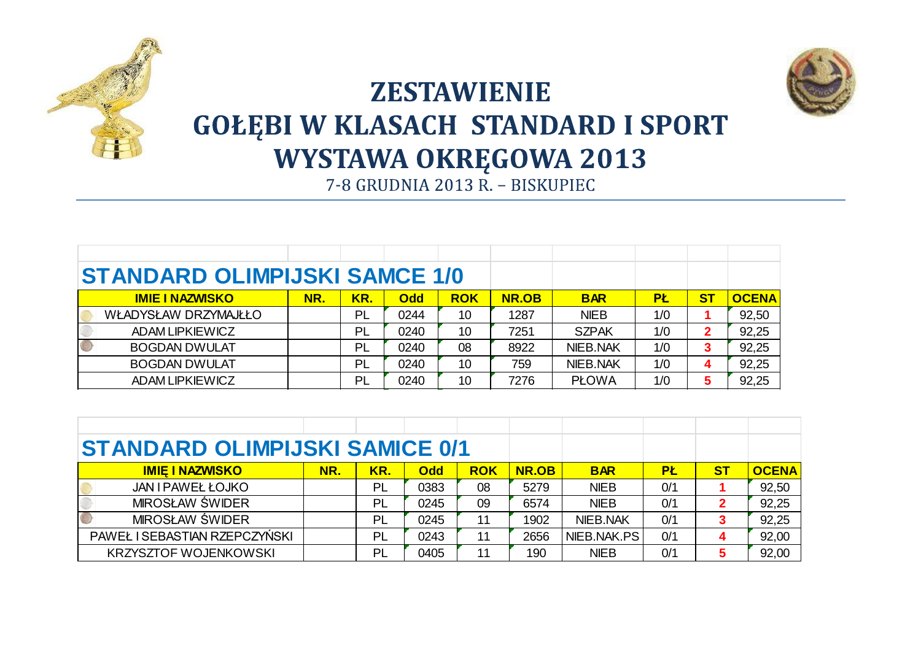



## **ZESTAWIENIE GOŁĘBI W KLASACH STANDARD I SPORT WYSTAWA OKRĘGOWA 2013**<br>7-8 GRUDNIA 2013 R. – BISKUPIEC

| <b>STANDARD OLIMPIJSKI SAMCE 1/0</b> |     |           |            |            |              |                 |     |           |              |
|--------------------------------------|-----|-----------|------------|------------|--------------|-----------------|-----|-----------|--------------|
| <b>IMIE I NAZWISKO</b>               | NR. | KR.       | <b>Odd</b> | <b>ROK</b> | <b>NR.OB</b> | <b>BAR</b>      | PŁ  | <b>ST</b> | <b>OCENA</b> |
| WŁADYSŁAW DRZYMAJŁŁO                 |     | PL        | 0244       | 10         | 1287         | <b>NIEB</b>     | 1/0 |           | 92,50        |
| ADAM LIPKIEWICZ                      |     | PL        | 0240       | 10         | 7251         | <b>SZPAK</b>    | 1/0 |           | 92,25        |
| <b>BOGDAN DWULAT</b>                 |     | PL        | 0240       | 08         | 8922         | <b>NIEB.NAK</b> | 1/0 | 3         | 92,25        |
| <b>BOGDAN DWULAT</b>                 |     | PL        | 0240       | 10         | 759          | <b>NIEB.NAK</b> | 1/0 | 4         | 92,25        |
| ADAM LIPKIEWICZ                      |     | <b>PL</b> | 0240       | 10         | 7276         | <b>PLOWA</b>    | 1/0 |           | 92,25        |

| <b>STANDARD OLIMPIJSKI SAMICE 0/1</b> |     |     |            |            |              |             |     |           |              |
|---------------------------------------|-----|-----|------------|------------|--------------|-------------|-----|-----------|--------------|
| <b>IMIE I NAZWISKO</b>                | NR. | KR. | <b>Odd</b> | <b>ROK</b> | <b>NR.OB</b> | <b>BAR</b>  | PŁ  | <b>ST</b> | <b>OCENA</b> |
| <b>JAN I PAWEŁ ŁOJKO</b>              |     | PL  | 0383       | 08         | 5279         | <b>NIEB</b> | 0/1 |           | 92,50        |
| MIROSŁAW ŚWIDER                       |     | PL  | 0245       | 09         | 6574         | <b>NIEB</b> | 0/1 |           | 92,25        |
| MIROSŁAW ŚWIDER                       |     | PL  | 0245       | 11         | 1902         | NIEB.NAK    | 0/1 |           | 92,25        |
| PAWEŁ I SEBASTIAN RZEPCZYŃSKI         |     | PL  | 0243       | 11         | 2656         | NIEB.NAK.PS | 0/1 |           | 92,00        |
| <b>KRZYSZTOF WOJENKOWSKI</b>          |     | PL  | 0405       | 11         | 190          | <b>NIEB</b> | 0/1 |           | 92,00        |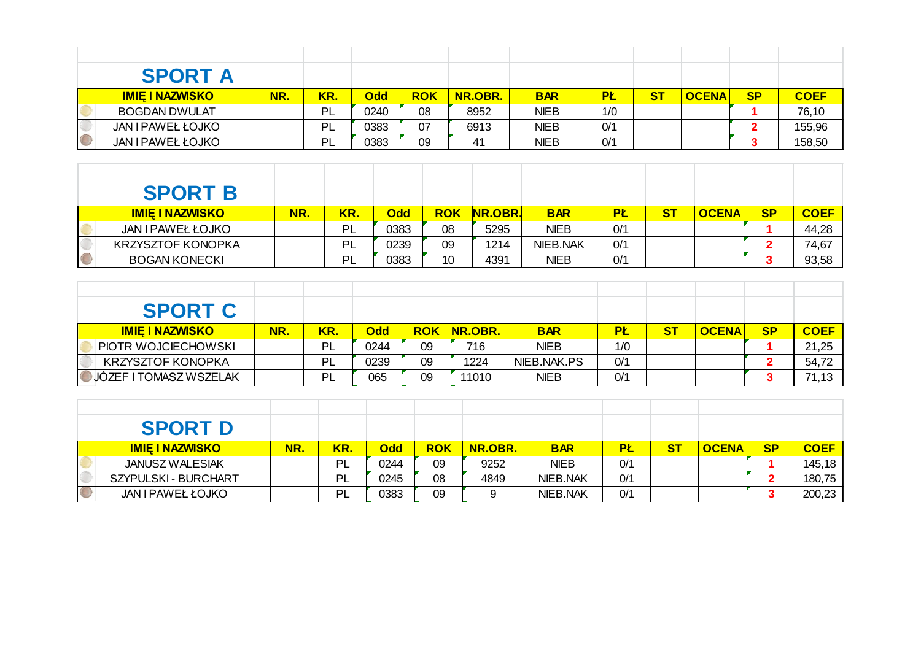| <b>SPORT A</b>         |     |     |            |            |                |             |           |           |              |           |             |
|------------------------|-----|-----|------------|------------|----------------|-------------|-----------|-----------|--------------|-----------|-------------|
| <b>IMIE I NAZWISKO</b> | NR. | KR. | <b>Odd</b> | <b>ROK</b> | <b>NR.OBR.</b> | <b>BAR</b>  | <b>PŁ</b> | <u>ST</u> | <b>OCENA</b> | <b>SP</b> | <b>COEF</b> |
| <b>BOGDAN DWULAT</b>   |     | PL  | 0240       | 08         | 8952           | <b>NIEB</b> | 1/0       |           |              |           | 76,10       |
| JAN I PAWEŁ ŁOJKO      |     | PL  | 0383       | 07         | 6913           | <b>NIEB</b> | 0/1       |           |              |           | 155,96      |
| JAN I PAWEŁ ŁOJKO      |     | PL  | 0383       | 09         | 41             | <b>NIEB</b> | 0/1       |           |              |           | 158,50      |

| <b>SPORT B</b>         |     |     |            |            |                |             |           |    |              |           |             |
|------------------------|-----|-----|------------|------------|----------------|-------------|-----------|----|--------------|-----------|-------------|
| <b>IMIE I NAZWISKO</b> | NR. | KR. | <b>Odd</b> | <b>ROK</b> | <b>NR.OBR.</b> | <b>BAR</b>  | <b>PŁ</b> | SТ | <b>OCENA</b> | <b>SP</b> | <b>COEF</b> |
| JAN I PAWEŁ ŁOJKO      |     | PL  | 0383       | 08         | 5295           | <b>NIEB</b> | 0/1       |    |              |           | 44,28       |
| KRZYSZTOF KONOPKA      |     | PI  | 0239       | 09         | 1214           | NIEB.NAK    | 0/1       |    |              |           | 74,67       |
| <b>BOGAN KONECKI</b>   |     | ΡI  | 0383       | 10         | 4391           | <b>NIEB</b> | 0/1       |    |              |           | 93,58       |

| <b>SPORT C</b>           |     |     |            |            |                |             |           |           |              |           |             |
|--------------------------|-----|-----|------------|------------|----------------|-------------|-----------|-----------|--------------|-----------|-------------|
| <b>IMIE I NAZWISKO</b>   | NR. | KR. | <b>Odd</b> | <b>ROK</b> | <b>NR.OBR.</b> | <b>BAR</b>  | <b>PL</b> | <b>ST</b> | <b>OCENA</b> | <b>SP</b> | <b>COEF</b> |
| PIOTR WOJCIECHOWSKI      |     | PL  | 0244       | 09         | 716            | <b>NIEB</b> | 1/0       |           |              |           | 21,25       |
| <b>KRZYSZTOF KONOPKA</b> |     | PL  | 0239       | 09         | 1224           | NIEB.NAK.PS | 0/1       |           |              |           | 54,72       |
| JÓZEF I TOMASZ WSZELAK   |     | PL  | 065        | 09         | 11010          | <b>NIEB</b> | 0/1       |           |              |           | 71,13       |

| <b>SPORT D</b>         |     |     |            |            |         |             |     |           |              |           |             |
|------------------------|-----|-----|------------|------------|---------|-------------|-----|-----------|--------------|-----------|-------------|
| <b>IMIE I NAZWISKO</b> | NR. | KR. | <b>Odd</b> | <b>ROK</b> | NR.OBR. | <b>BAR</b>  | PŁ  | <u>ST</u> | <b>OCENA</b> | <b>SP</b> | <b>COEF</b> |
| <b>JANUSZ WALESIAK</b> |     | PL  | 0244       | 09         | 9252    | <b>NIEB</b> | O/1 |           |              |           | 145,18      |
| SZYPULSKI - BURCHART   |     | PL  | 0245       | 08         | 4849    | NIEB.NAK    | O/1 |           |              |           | 180,75      |
| JAN I PAWEŁ ŁOJKO      |     | PL  | 0383       | 09         |         | NIEB.NAK    | O/1 |           |              |           | 200,23      |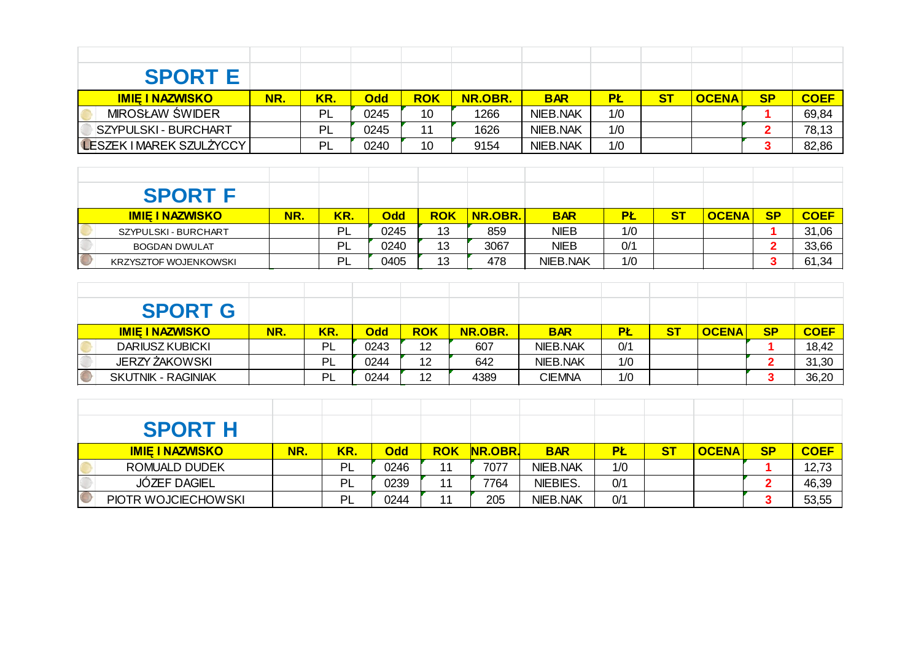| <b>SPORT E</b>                  |     |     |            |            |         |                 |           |    |              |           |             |
|---------------------------------|-----|-----|------------|------------|---------|-----------------|-----------|----|--------------|-----------|-------------|
| <b>IMIE I NAZWISKO</b>          | NR. | KR. | <b>Odd</b> | <b>ROK</b> | NR.OBR. | <b>BAR</b>      | <b>PŁ</b> | ST | <b>OCENA</b> | <b>SP</b> | <b>COEF</b> |
| <b>MIROSŁAW ŚWIDER</b>          |     | PL  | 0245       | 10         | 1266    | <b>NIEB.NAK</b> | 1/0       |    |              |           | 69,84       |
| <b>SZYPULSKI - BURCHART</b>     |     | PL  | 0245       | 11         | 1626    | NIEB.NAK        | 1/0       |    |              |           | 78,13       |
| <b>LESZEK I MAREK SZULŻYCCY</b> |     | PL  | 0240       | 10         | 9154    | <b>NIEB.NAK</b> | 1/0       |    |              |           | 82,86       |

| <b>SPORT F</b>         |     |     |            |            |                |                 |           |                |              |           |             |
|------------------------|-----|-----|------------|------------|----------------|-----------------|-----------|----------------|--------------|-----------|-------------|
| <b>IMIE I NAZWISKO</b> | NR. | KR. | <b>Odd</b> | <b>ROK</b> | <b>NR.OBR.</b> | <b>BAR</b>      | <b>PŁ</b> | S <sub>T</sub> | <b>OCENA</b> | <b>SP</b> | <b>COEF</b> |
| SZYPULSKI - BURCHART   |     | PL  | 0245       | 13         | 859            | <b>NIEB</b>     | 1/0       |                |              |           | 31,06       |
| <b>BOGDAN DWULAT</b>   |     | PL  | 0240       | 13         | 3067           | <b>NIEB</b>     | O/1       |                |              |           | 33,66       |
| KRZYSZTOF WOJENKOWSKI  |     | PL  | 0405       | 13         | 478            | <b>NIEB.NAK</b> | 1/0       |                |              |           | 61,34       |

|            | <b>SPORT G</b>            |     |     |            |            |                |                 |           |           |              |           |             |
|------------|---------------------------|-----|-----|------------|------------|----------------|-----------------|-----------|-----------|--------------|-----------|-------------|
|            | <b>IMIE I NAZWISKO</b>    | NR. | KR. | <b>Odd</b> | <b>ROK</b> | <b>NR.OBR.</b> | <b>BAR</b>      | <b>PŁ</b> | <u>ST</u> | <b>OCENA</b> | <b>SP</b> | <b>COEF</b> |
|            | <b>DARIUSZ KUBICKI</b>    |     | PL  | 0243       | 12         | 607            | <b>NIEB.NAK</b> | 0/1       |           |              |           | 18,42       |
|            | JERZY ŻAKOWSKI            |     | PL  | 0244       | 12         | 642            | <b>NIEB.NAK</b> | 1/0       |           |              |           | 31,30       |
| $\bigcirc$ | <b>SKUTNIK - RAGINIAK</b> |     | PL  | 0244       | 12         | 4389           | <b>CIEMNA</b>   | 1/0       |           |              |           | 36,20       |

| <b>SPORT H</b>         |     |     |            |            |                |            |           |           |              |           |             |
|------------------------|-----|-----|------------|------------|----------------|------------|-----------|-----------|--------------|-----------|-------------|
| <b>IMIE I NAZWISKO</b> | NR. | KR. | <b>Odd</b> | <b>ROK</b> | <b>NR.OBR.</b> | <b>BAR</b> | <b>PŁ</b> | <b>ST</b> | <b>OCENA</b> | <b>SP</b> | <b>COEF</b> |
| <b>ROMUALD DUDEK</b>   |     | PL  | 0246       | 11         | 7077           | NIEB.NAK   | 1/0       |           |              |           | 12,73       |
| <b>JÓZEF DAGIEL</b>    |     | PL  | 0239       | 11         | 7764           | NIEBIES.   | 0/1       |           |              |           | 46,39       |
| PIOTR WOJCIECHOWSKI    |     | PL  | 0244       | 11         | 205            | NIEB.NAK   | 0/1       |           |              |           | 53,55       |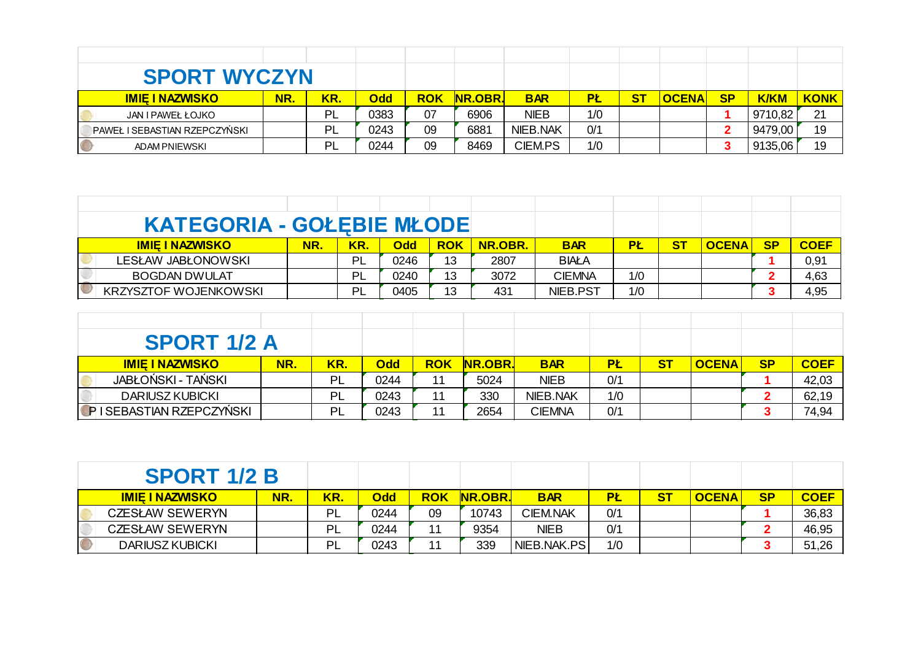| <b>SPORT WYCZYN</b>           |     |     |      |            |                |                |     |           |              |           |             |             |
|-------------------------------|-----|-----|------|------------|----------------|----------------|-----|-----------|--------------|-----------|-------------|-------------|
| <b>IMIE I NAZWISKO</b>        | NR. | KR. | Odd  | <b>ROK</b> | <b>NR.OBR.</b> | <b>BAR</b>     | PŁ  | <b>ST</b> | <b>OCENA</b> | <b>SP</b> | <b>K/KM</b> | <b>KONK</b> |
| JAN I PAWEŁ ŁOJKO             |     | PL  | 0383 | 07         | 6906           | <b>NIEB</b>    | 1/0 |           |              |           | 9710,82     | 21          |
| PAWEŁ I SEBASTIAN RZEPCZYŃSKI |     | PL  | 0243 | 09         | 6881           | NIEB.NAK       | 0/1 |           |              |           | 9479,00     | 19          |
| <b>ADAM PNIEWSKI</b>          |     | PL  | 0244 | 09         | 8469           | <b>CIEM.PS</b> | 1/0 |           |              |           | 9135,06     | 19          |

| <b>KATEGORIA - GOŁEBIE MŁODE</b> |     |     |            |            |                |               |           |           |              |           |             |
|----------------------------------|-----|-----|------------|------------|----------------|---------------|-----------|-----------|--------------|-----------|-------------|
| <u>IMIE I NAZWISKO</u>           | NR. | KR. | <b>Odd</b> | <b>ROK</b> | <b>NR.OBR.</b> | <b>BAR</b>    | <b>PŁ</b> | <u>ST</u> | <b>OCENA</b> | <b>SP</b> | <b>COEF</b> |
| <b>LESŁAW JABŁONOWSKI</b>        |     | PL  | 0246       | 13         | 2807           | <b>BIAŁA</b>  |           |           |              |           | 0,91        |
| <b>BOGDAN DWULAT</b>             |     | ÞΙ  | 0240       | 13         | 3072           | <b>CIEMNA</b> | 1/0       |           |              |           | 4,63        |
| <b>KRZYSZTOF WOJENKOWSKI</b>     |     | ÞΙ  | 0405       | 13         | 431            | NIEB.PST      | 1/0       |           |              |           | 4,95        |

| <b>SPORT 1/2 A</b>      |           |     |            |            |                |                 |           |    |              |           |             |
|-------------------------|-----------|-----|------------|------------|----------------|-----------------|-----------|----|--------------|-----------|-------------|
| <b>IMIE I NAZWISKO</b>  | <b>NR</b> | KR. | <b>Odd</b> | <b>ROK</b> | <b>NR.OBR.</b> | <b>BAR</b>      | <b>PŁ</b> | ST | <b>OCENA</b> | <b>SP</b> | <b>COEF</b> |
| JABŁOŃSKI - TAŃSKI      |           | PL  | 0244       |            | 5024           | <b>NIEB</b>     | 0/1       |    |              |           | 42,03       |
| <b>DARIUSZ KUBICKI</b>  |           | PL  | 0243       |            | 330            | <b>NIEB.NAK</b> | 1/0       |    |              |           | 62,19       |
| PISEBASTIAN RZEPCZYŃSKI |           | PL  | 0243       |            | 2654           | <b>CIEMNA</b>   | 0/1       |    |              |           | 74,94       |

| <b>SPORT 1/2 B</b> |                        |     |     |            |            |                |                 |           |              |           |             |
|--------------------|------------------------|-----|-----|------------|------------|----------------|-----------------|-----------|--------------|-----------|-------------|
|                    | <b>IMIE I NAZWISKO</b> | NR. | KR. | <b>Odd</b> | <b>ROK</b> | <b>NR.OBR.</b> | <b>BAR</b>      | <b>PŁ</b> | <b>OCENA</b> | <b>SP</b> | <b>COEF</b> |
|                    | <b>CZESŁAW SEWERYN</b> |     | PL  | 0244       | 09         | 10743          | <b>CIEM.NAK</b> | 0/1       |              |           | 36,83       |
|                    | <b>CZESŁAW SEWERYN</b> |     | -PL | 0244       | 44         | 9354           | <b>NIEB</b>     | 0/1       |              |           | 46,95       |
|                    | <b>DARIUSZ KUBICKI</b> |     | ΡI  | 0243       | 49         | 339            | NIEB.NAK.PS     | 1/0       |              |           | 51,26       |